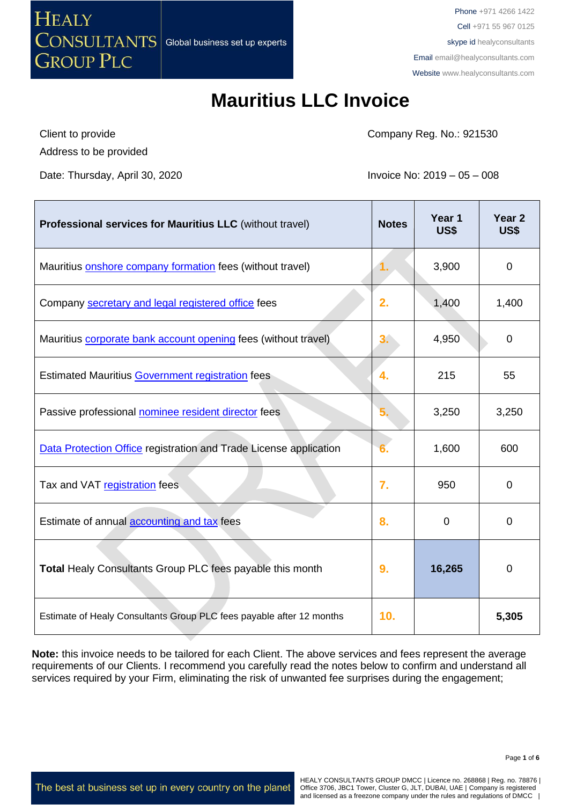

# **Mauritius LLC Invoice**

Client to provide Address to be provided Company Reg. No.: 921530

Date: Thursday, April 30, 2020 **Invoice No: 2019** – 05 – 008

| <b>Professional services for Mauritius LLC</b> (without travel)      | <b>Notes</b> | Year 1<br>US\$ | Year <sub>2</sub><br>US\$ |
|----------------------------------------------------------------------|--------------|----------------|---------------------------|
| Mauritius onshore company formation fees (without travel)            | 1.           | 3,900          | $\mathbf 0$               |
| Company secretary and legal registered office fees                   | 2.           | 1,400          | 1,400                     |
| Mauritius corporate bank account opening fees (without travel)       | 3.           | 4,950          | $\mathbf 0$               |
| <b>Estimated Mauritius Government registration fees</b>              | 4.           | 215            | 55                        |
| Passive professional nominee resident director fees                  | 5.           | 3,250          | 3,250                     |
| Data Protection Office registration and Trade License application    |              | 1,600          | 600                       |
| Tax and VAT registration fees                                        | 7.           | 950            | $\mathbf 0$               |
| Estimate of annual accounting and tax fees                           | 8.           | $\Omega$       | 0                         |
| Total Healy Consultants Group PLC fees payable this month            | 9.           | 16,265         | $\mathbf 0$               |
| Estimate of Healy Consultants Group PLC fees payable after 12 months | 10.          |                | 5,305                     |

**Note:** this invoice needs to be tailored for each Client. The above services and fees represent the average requirements of our Clients. I recommend you carefully read the notes below to confirm and understand all services required by your Firm, eliminating the risk of unwanted fee surprises during the engagement;

The best at business set up in every country on the planet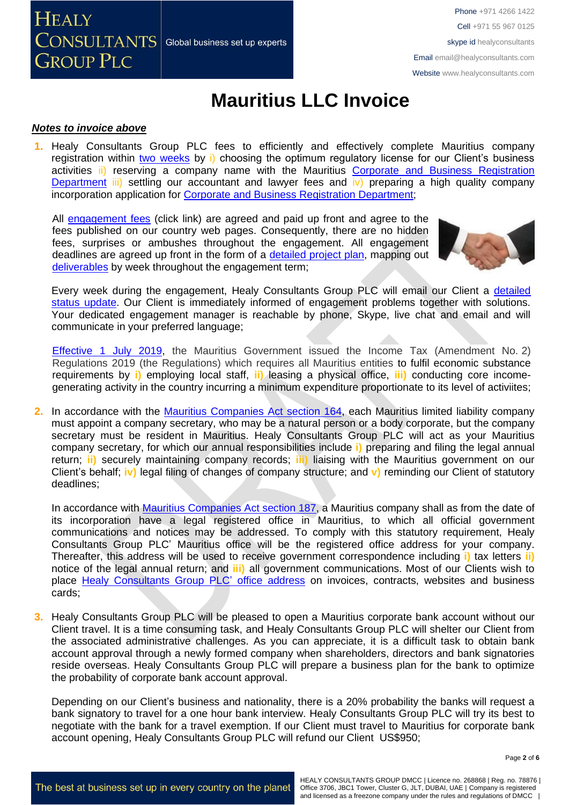**HEALY**  $\overline{\text{CONSULTANTS}}{}|$  Global business set up experts **GROUP PLC** 

Phone +971 4266 1422 Cell +971 55 967 0125 skype id healyconsultants Email [email@healyconsultants.com](mailto:EMAIL@HEALYCONSULTANTS.COM) Website [www.healyconsultants.com](http://www.healyconsultants.com/)

# **Mauritius LLC Invoice**

#### *Notes to invoice above*

**1.** Healy Consultants Group PLC fees to efficiently and effectively complete Mauritius company registration within two [weeks](http://www.healyconsultants.com/mauritius-company-registration/fees-timelines/) by i) choosing the optimum regulatory license for our Client's business activities ii) reserving a company name with the Mauritius Corporate and Business Registration [Department](../../../Downloads/companies.govmu.org/) iii) settling our accountant and lawyer fees and iv) preparing a high quality company incorporation application for [Corporate and Business Registration Department;](file://///DISKSTATION/SharedFolder/CRO%20Jurisdictions/Africa/Mauritius/Invoice/latest%20invoice/companies.govmu.org/)

All [engagement fees](http://www.healyconsultants.com/company-registration-fees/) (click link) are agreed and paid up front and agree to the fees published on our country web pages. Consequently, there are no hidden fees, surprises or ambushes throughout the engagement. All engagement deadlines are agreed up front in the form of a [detailed project plan,](http://www.healyconsultants.com/index-important-links/example-project-plan/) mapping out [deliverables](http://www.healyconsultants.com/deliverables-to-our-clients/) by week throughout the engagement term;



Every week during the engagement, Healy Consultants Group PLC will email our Client a [detailed](http://www.healyconsultants.com/index-important-links/weekly-engagement-status-email/)  [status update.](http://www.healyconsultants.com/index-important-links/weekly-engagement-status-email/) Our Client is immediately informed of engagement problems together with solutions. Your dedicated engagement manager is reachable by phone, Skype, live chat and email and will communicate in your preferred language;

[Effective 1 July](https://www.ey.com/gl/en/services/tax/international-tax/alert--mauritius-issues-regulations-on-substance-requirements-and-computation-of-income-for-cfc-purposes) 2019, the Mauritius Government issued the Income Tax (Amendment No. 2) Regulations 2019 (the Regulations) which requires all Mauritius entities to fulfil economic substance requirements by **i)** employing local staff, **ii)** leasing a physical office, **iii)** conducting core incomegenerating activity in the country incurring a minimum expenditure proportionate to its level of activiites;

**2.** In accordance with the [Mauritius Companies Act section 164,](http://www.tridenttrust.com/pdfs/mau_comp_act_2001.pdf) each Mauritius limited liability company must appoint a company secretary, who may be a natural person or a body corporate, but the company secretary must be resident in Mauritius. Healy Consultants Group PLC will act as your Mauritius company secretary, for which our annual responsibilities include **i)** preparing and filing the legal annual return; **ii)** securely maintaining company records; **iii)** liaising with the Mauritius government on our Client's behalf; **iv)** legal filing of changes of company structure; and **v)** reminding our Client of statutory deadlines;

In accordance with [Mauritius Companies Act section 187,](http://www.tridenttrust.com/pdfs/mau_comp_act_2001.pdf) a Mauritius company shall as from the date of its incorporation have a legal registered office in Mauritius, to which all official government communications and notices may be addressed. To comply with this statutory requirement, Healy Consultants Group PLC' Mauritius office will be the registered office address for your company. Thereafter, this address will be used to receive government correspondence including **i)** tax letters **ii)** notice of the legal annual return; and **iii)** all government communications. Most of our Clients wish to place [Healy Consultants Group PLC'](http://www.healyconsultants.com/corporate-outsourcing-services/company-secretary-and-legal-registered-office/) office address on invoices, contracts, websites and business cards;

**3.** Healy Consultants Group PLC will be pleased to open a Mauritius corporate bank account without our Client travel. It is a time consuming task, and Healy Consultants Group PLC will shelter our Client from the associated administrative challenges. As you can appreciate, it is a difficult task to obtain bank account approval through a newly formed company when shareholders, directors and bank signatories reside overseas. Healy Consultants Group PLC will prepare a business plan for the bank to optimize the probability of corporate bank account approval.

Depending on our Client's business and nationality, there is a 20% probability the banks will request a bank signatory to travel for a one hour bank interview. Healy Consultants Group PLC will try its best to negotiate with the bank for a travel exemption. If our Client must travel to Mauritius for corporate bank account opening, Healy Consultants Group PLC will refund our Client US\$950;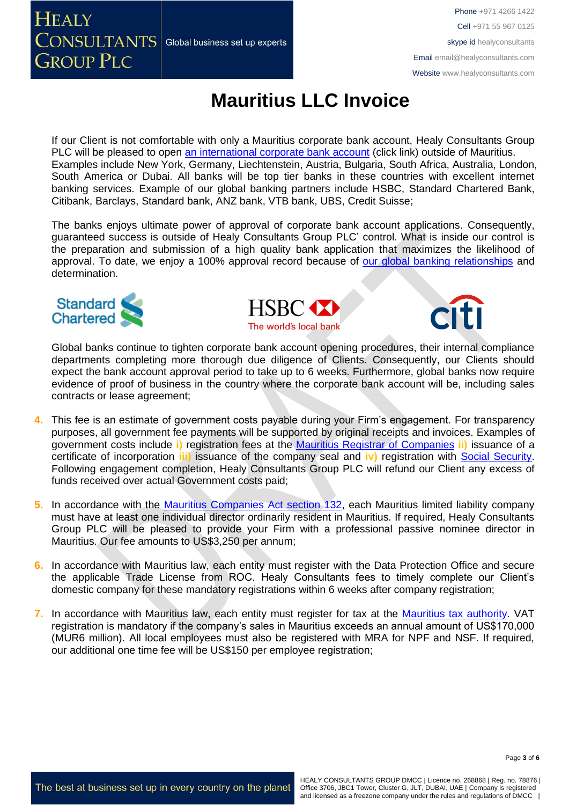**HEALY**  $\overline{\text{CONSULTANTS}}\vert$  Global business set up experts **GROUP PLC** 

Phone +971 4266 1422 Cell +971 55 967 0125 skype id healyconsultants Email [email@healyconsultants.com](mailto:EMAIL@HEALYCONSULTANTS.COM) Website [www.healyconsultants.com](http://www.healyconsultants.com/)

# **Mauritius LLC Invoice**

If our Client is not comfortable with only a Mauritius corporate bank account, Healy Consultants Group PLC will be pleased to open [an international corporate bank account](http://www.healyconsultants.com/international-banking/) (click link) outside of Mauritius. Examples include New York, Germany, Liechtenstein, Austria, Bulgaria, South Africa, Australia, London, South America or Dubai. All banks will be top tier banks in these countries with excellent internet banking services. Example of our global banking partners include HSBC, Standard Chartered Bank, Citibank, Barclays, Standard bank, ANZ bank, VTB bank, UBS, Credit Suisse;

The banks enjoys ultimate power of approval of corporate bank account applications. Consequently, guaranteed success is outside of Healy Consultants Group PLC' control. What is inside our control is the preparation and submission of a high quality bank application that maximizes the likelihood of approval. To date, we enjoy a 100% approval record because of [our global banking relationships](http://www.healyconsultants.com/international-banking/corporate-accounts/) and determination.







Global banks continue to tighten corporate bank account opening procedures, their internal compliance departments completing more thorough due diligence of Clients. Consequently, our Clients should expect the bank account approval period to take up to 6 weeks. Furthermore, global banks now require evidence of proof of business in the country where the corporate bank account will be, including sales contracts or lease agreement;

- **4.** This fee is an estimate of government costs payable during your Firm's engagement. For transparency purposes, all government fee payments will be supported by original receipts and invoices. Examples of government costs include **i)** registration fees at the [Mauritius Registrar of Companies](http://mns.mu/cbris-companies.php) **ii)** issuance of a certificate of incorporation **iii)** issuance of the company seal and **iv)** registration with [Social Security.](../../../../../../../AppData/Local/Microsoft/Windows/INetCache/Content.Outlook/XRFLDTO1/socialsecurity.gov.mu/) Following engagement completion, Healy Consultants Group PLC will refund our Client any excess of funds received over actual Government costs paid;
- **5.** In accordance with the [Mauritius Companies](http://www.tridenttrust.com/pdfs/mau_comp_act_2001.pdf) Act section 132, each Mauritius limited liability company must have at least one individual director ordinarily resident in Mauritius. If required, Healy Consultants Group PLC will be pleased to provide your Firm with a professional passive nominee director in Mauritius. Our fee amounts to US\$3,250 per annum;
- **6.** In accordance with Mauritius law, each entity must register with the Data Protection Office and secure the applicable Trade License from ROC. Healy Consultants fees to timely complete our Client's domestic company for these mandatory registrations within 6 weeks after company registration;
- **7.** In accordance with Mauritius law, each entity must register for tax at the [Mauritius tax authority.](http://www.mra.mu/) VAT registration is mandatory if the company's sales in Mauritius exceeds an annual amount of US\$170,000 (MUR6 million). All local employees must also be registered with MRA for NPF and NSF. If required, our additional one time fee will be US\$150 per employee registration;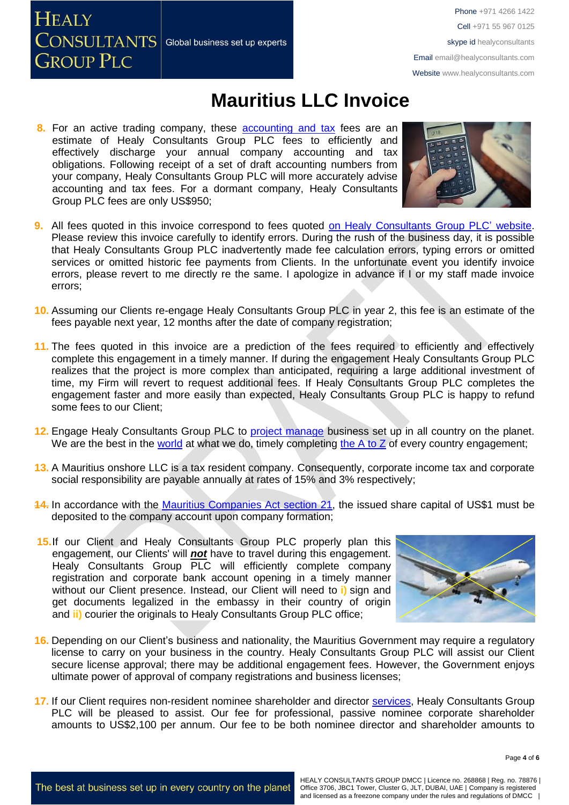**HEALY**  $\overline{\text{CONSULTANTS}}{}|$  Global business set up experts **GROUP PLC** 

Phone +971 4266 1422 Cell +971 55 967 0125 skype id healyconsultants Email [email@healyconsultants.com](mailto:EMAIL@HEALYCONSULTANTS.COM) Website [www.healyconsultants.com](http://www.healyconsultants.com/)

## **Mauritius LLC Invoice**

8. For an active trading company, these **accounting and tax fees are an** estimate of Healy Consultants Group PLC fees to efficiently and effectively discharge your annual company accounting and tax obligations. Following receipt of a set of draft accounting numbers from your company, Healy Consultants Group PLC will more accurately advise accounting and tax fees. For a dormant company, Healy Consultants Group PLC fees are only US\$950;



- **9.** All fees quoted in this invoice correspond to fees quoted [on Healy Consultants Group PLC'](http://www.healyconsultants.com/company-registration-fees/) website. Please review this invoice carefully to identify errors. During the rush of the business day, it is possible that Healy Consultants Group PLC inadvertently made fee calculation errors, typing errors or omitted services or omitted historic fee payments from Clients. In the unfortunate event you identify invoice errors, please revert to me directly re the same. I apologize in advance if I or my staff made invoice errors;
- **10.** Assuming our Clients re-engage Healy Consultants Group PLC in year 2, this fee is an estimate of the fees payable next year, 12 months after the date of company registration;
- **11.** The fees quoted in this invoice are a prediction of the fees required to efficiently and effectively complete this engagement in a timely manner. If during the engagement Healy Consultants Group PLC realizes that the project is more complex than anticipated, requiring a large additional investment of time, my Firm will revert to request additional fees. If Healy Consultants Group PLC completes the engagement faster and more easily than expected, Healy Consultants Group PLC is happy to refund some fees to our Client;
- **12.** Engage Healy Consultants Group PLC to [project manage](http://www.healyconsultants.com/project-manage-engagements/) business set up in all country on the planet. We are the best in the [world](http://www.healyconsultants.com/best-in-the-world/) at what we do, timely completing the  $A$  to  $Z$  of every country engagement;
- **13.** A Mauritius onshore LLC is a tax resident company. Consequently, corporate income tax and corporate social responsibility are payable annually at rates of 15% and 3% respectively;
- **14.** In accordance with the [Mauritius Companies Act section 21,](http://www.tridenttrust.com/pdfs/mau_comp_act_2001.pdf) the issued share capital of US\$1 must be deposited to the company account upon company formation;
- **15.**If our Client and Healy Consultants Group PLC properly plan this engagement, our Clients' will *not* have to travel during this engagement. Healy Consultants Group PLC will efficiently complete company registration and corporate bank account opening in a timely manner without our Client presence. Instead, our Client will need to **i**) sign and get documents legalized in the embassy in their country of origin and **ii)** courier the originals to Healy Consultants Group PLC office;



- **16.** Depending on our Client's business and nationality, the Mauritius Government may require a regulatory license to carry on your business in the country. Healy Consultants Group PLC will assist our Client secure license approval; there may be additional engagement fees. However, the Government enjoys ultimate power of approval of company registrations and business licenses;
- **17.** If our Client requires non-resident nominee shareholder and director [services,](http://www.healyconsultants.com/corporate-outsourcing-services/nominee-shareholders-directors/) Healy Consultants Group PLC will be pleased to assist. Our fee for professional, passive nominee corporate shareholder amounts to US\$2,100 per annum. Our fee to be both nominee director and shareholder amounts to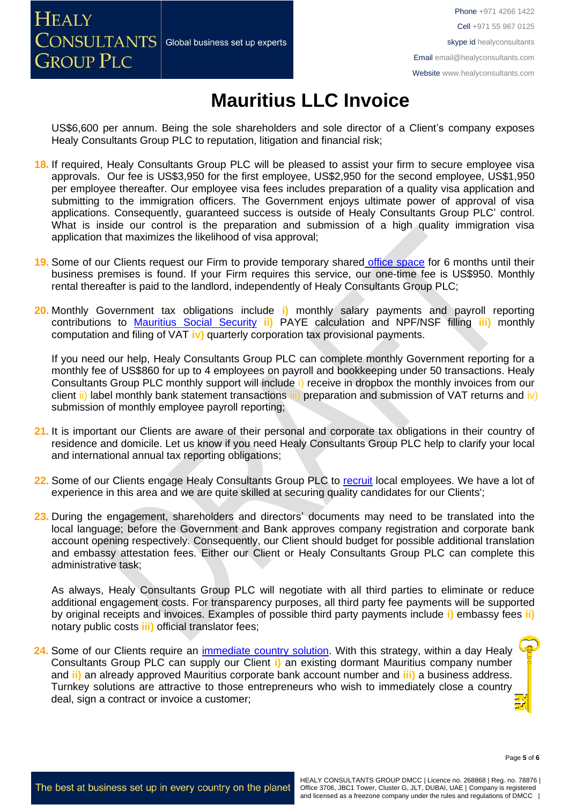**HEALY**  $\overline{\text{CONSULTANTS}}{}|$  Global business set up experts **GROUP PLC** 

Phone +971 4266 1422 Cell +971 55 967 0125 skype id healyconsultants Email [email@healyconsultants.com](mailto:EMAIL@HEALYCONSULTANTS.COM) Website [www.healyconsultants.com](http://www.healyconsultants.com/)

# **Mauritius LLC Invoice**

US\$6,600 per annum. Being the sole shareholders and sole director of a Client's company exposes Healy Consultants Group PLC to reputation, litigation and financial risk;

- **18.** If required, Healy Consultants Group PLC will be pleased to assist your firm to secure employee visa approvals. Our fee is US\$3,950 for the first employee, US\$2,950 for the second employee, US\$1,950 per employee thereafter. Our employee visa fees includes preparation of a quality visa application and submitting to the immigration officers. The Government enjoys ultimate power of approval of visa applications. Consequently, guaranteed success is outside of Healy Consultants Group PLC' control. What is inside our control is the preparation and submission of a high quality immigration visa application that maximizes the likelihood of visa approval;
- **19.** Some of our Clients request our Firm to provide temporary shared [office space](http://www.healyconsultants.com/virtual-office/) for 6 months until their business premises is found. If your Firm requires this service, our one-time fee is US\$950. Monthly rental thereafter is paid to the landlord, independently of Healy Consultants Group PLC;
- **20.** Monthly Government tax obligations include **i)** monthly salary payments and payroll reporting contributions to [Mauritius Social Security](../../../../../../../AppData/Local/Microsoft/Windows/INetCache/Content.Outlook/XRFLDTO1/socialsecurity.gov.mu/) **ii)** PAYE calculation and NPF/NSF filling **iii)** monthly computation and filing of VAT **iv)** quarterly corporation tax provisional payments.

If you need our help, Healy Consultants Group PLC can complete monthly Government reporting for a monthly fee of US\$860 for up to 4 employees on payroll and bookkeeping under 50 transactions. Healy Consultants Group PLC monthly support will include i) receive in dropbox the monthly invoices from our client ii) label monthly bank statement transactions iii) preparation and submission of VAT returns and iv) submission of monthly employee payroll reporting;

- **21.** It is important our Clients are aware of their personal and corporate tax obligations in their country of residence and domicile. Let us know if you need Healy Consultants Group PLC help to clarify your local and international annual tax reporting obligations;
- **22.** Some of our Clients engage Healy Consultants Group PLC to [recruit](http://www.healyconsultants.com/corporate-outsourcing-services/how-we-help-our-clients-recruit-quality-employees/) local employees. We have a lot of experience in this area and we are quite skilled at securing quality candidates for our Clients';
- **23.** During the engagement, shareholders and directors' documents may need to be translated into the local language; before the Government and Bank approves company registration and corporate bank account opening respectively. Consequently, our Client should budget for possible additional translation and embassy attestation fees. Either our Client or Healy Consultants Group PLC can complete this administrative task;

As always, Healy Consultants Group PLC will negotiate with all third parties to eliminate or reduce additional engagement costs. For transparency purposes, all third party fee payments will be supported by original receipts and invoices. Examples of possible third party payments include **i)** embassy fees **ii)** notary public costs **iii)** official translator fees;

24. Some of our Clients require an *immediate country solution*. With this strategy, within a day Healy Consultants Group PLC can supply our Client **i)** an existing dormant Mauritius company number and **ii)** an already approved Mauritius corporate bank account number and **iii)** a business address. Turnkey solutions are attractive to those entrepreneurs who wish to immediately close a country deal, sign a contract or invoice a customer;

Page **5** of **6**

The best at business set up in every country on the planet

HEALY CONSULTANTS GROUP DMCC | Licence no. 268868 | Reg. no. 78876 | Office 3706, JBC1 Tower, Cluster G, JLT, DUBAI, UAE | Company is registered and licensed as a freezone company under the rules and regulations of DMCC |